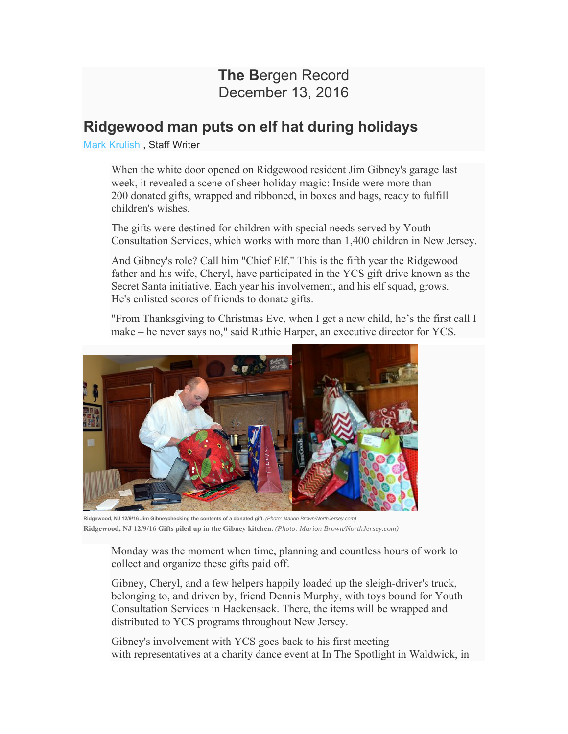## **The B**ergen Record December 13, 2016

## **Ridgewood man puts on elf hat during holidays**

Mark Krulish , Staff Writer

When the white door opened on Ridgewood resident Jim Gibney's garage last week, it revealed a scene of sheer holiday magic: Inside were more than 200 donated gifts, wrapped and ribboned, in boxes and bags, ready to fulfill children's wishes.

The gifts were destined for children with special needs served by Youth Consultation Services, which works with more than 1,400 children in New Jersey.

And Gibney's role? Call him "Chief Elf." This is the fifth year the Ridgewood father and his wife, Cheryl, have participated in the YCS gift drive known as the Secret Santa initiative. Each year his involvement, and his elf squad, grows. He's enlisted scores of friends to donate gifts.

"From Thanksgiving to Christmas Eve, when I get a new child, he's the first call I make – he never says no," said Ruthie Harper, an executive director for YCS.



**Ridgewood, NJ 12/9/16 Jim Gibneychecking the contents of a donated gift.** *(Photo: Marion Brown/NorthJersey.com)*  **Ridgewood, NJ 12/9/16 Gifts piled up in the Gibney kitchen.** *(Photo: Marion Brown/NorthJersey.com)*

Monday was the moment when time, planning and countless hours of work to collect and organize these gifts paid off.

Gibney, Cheryl, and a few helpers happily loaded up the sleigh-driver's truck, belonging to, and driven by, friend Dennis Murphy, with toys bound for Youth Consultation Services in Hackensack. There, the items will be wrapped and distributed to YCS programs throughout New Jersey.

Gibney's involvement with YCS goes back to his first meeting with representatives at a charity dance event at In The Spotlight in Waldwick, in